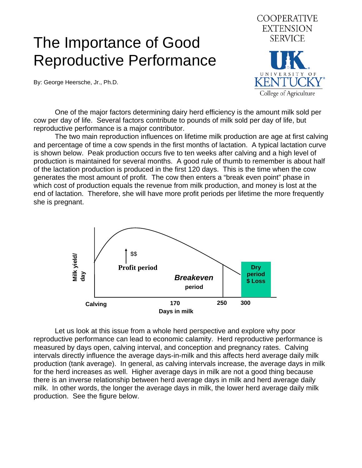## The Importance of Good Reproductive Performance

By: George Heersche, Jr., Ph.D.



 One of the major factors determining dairy herd efficiency is the amount milk sold per cow per day of life. Several factors contribute to pounds of milk sold per day of life, but reproductive performance is a major contributor.

 The two main reproduction influences on lifetime milk production are age at first calving and percentage of time a cow spends in the first months of lactation. A typical lactation curve is shown below. Peak production occurs five to ten weeks after calving and a high level of production is maintained for several months. A good rule of thumb to remember is about half of the lactation production is produced in the first 120 days. This is the time when the cow generates the most amount of profit. The cow then enters a "break even point" phase in which cost of production equals the revenue from milk production, and money is lost at the end of lactation. Therefore, she will have more profit periods per lifetime the more frequently she is pregnant.



 Let us look at this issue from a whole herd perspective and explore why poor reproductive performance can lead to economic calamity. Herd reproductive performance is measured by days open, calving interval, and conception and pregnancy rates. Calving intervals directly influence the average days-in-milk and this affects herd average daily milk production (tank average). In general, as calving intervals increase, the average days in milk for the herd increases as well. Higher average days in milk are not a good thing because there is an inverse relationship between herd average days in milk and herd average daily milk. In other words, the longer the average days in milk, the lower herd average daily milk production. See the figure below.